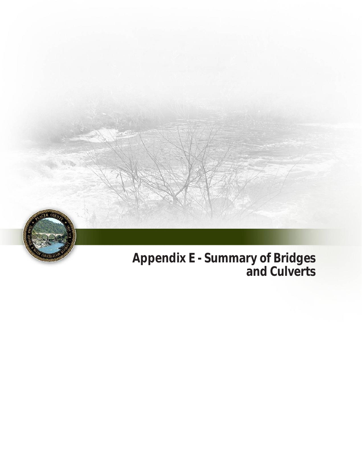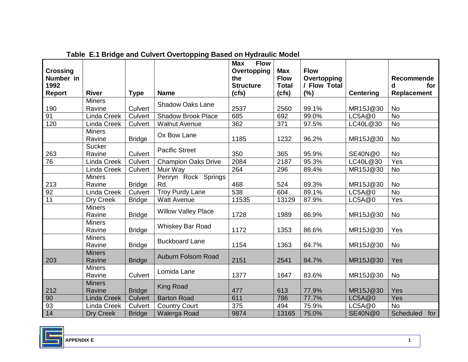| <b>Crossing</b> |                         |                |                            | <b>Flow</b><br><b>Max</b><br>Overtopping | <b>Max</b>   | <b>Flow</b>  |                  |                    |
|-----------------|-------------------------|----------------|----------------------------|------------------------------------------|--------------|--------------|------------------|--------------------|
| Number in       |                         |                |                            | the                                      | <b>Flow</b>  | Overtopping  |                  | <b>Recommende</b>  |
| 1992            |                         |                |                            | <b>Structure</b>                         | <b>Total</b> | / Flow Total |                  | for<br>d           |
| Report          | <b>River</b>            | <b>Type</b>    | <b>Name</b>                | (cts)                                    | (cfs)        | (%)          | <b>Centering</b> | <b>Replacement</b> |
| 190             | <b>Miners</b><br>Ravine | Culvert        | <b>Shadow Oaks Lane</b>    | 2537                                     | 2560         | 99.1%        | MR15J@30         | <b>No</b>          |
| 91              | <b>Linda Creek</b>      | Culvert        | <b>Shadow Brook Place</b>  | 685                                      | 692          | 99.0%        | LC5A@0           | <b>No</b>          |
| 120             | <b>Linda Creek</b>      | Culvert        | <b>Walnut Avenue</b>       | 362                                      | 371          | 97.5%        | LC40L@30         | <b>No</b>          |
|                 | <b>Miners</b><br>Ravine | <b>Bridge</b>  | Ox Bow Lane                | 1185                                     | 1232         | 96.2%        | MR15J@30         | <b>No</b>          |
| 263             | <b>Sucker</b><br>Ravine | Culvert        | <b>Pacific Street</b>      | 350                                      | 365          | 95.9%        | SE40N@0          | <b>No</b>          |
| 76              | Linda Creek             | Culvert        | <b>Champion Oaks Drive</b> | 2084                                     | 2187         | 95.3%        | LC40L@30         | Yes                |
|                 | <b>Linda Creek</b>      | Culvert        | Muir Way                   | 264                                      | 296          | 89.4%        | MR15J@30         | No                 |
|                 | <b>Miners</b>           |                | Penryn Rock Springs        |                                          |              |              |                  |                    |
| 213             | Ravine                  | <b>Bridge</b>  | Rd.                        | 468                                      | 524          | 89.3%        | MR15J@30         | <b>No</b>          |
| 92              | <b>Linda Creek</b>      | Culvert        | Troy Purdy Lane            | 538                                      | 604          | 89.1%        | LC5A@0           | <b>No</b>          |
| 11              | Dry Creek               | <b>Bridge</b>  | <b>Watt Avenue</b>         | 11535                                    | 13129        | 87.9%        | LC5A@0           | Yes                |
|                 | <b>Miners</b><br>Ravine | <b>Bridge</b>  | <b>Willow Valley Place</b> | 1728                                     | 1989         | 86.9%        | MR15J@30         | No                 |
|                 | <b>Miners</b><br>Ravine | <b>Bridge</b>  | Whiskey Bar Road           | 1172                                     | 1353         | 86.6%        | MR15J@30         | Yes                |
|                 | <b>Miners</b><br>Ravine | <b>Bridge</b>  | <b>Buckboard Lane</b>      | 1154                                     | 1363         | 84.7%        | MR15J@30         | No                 |
| 203             | <b>Miners</b><br>Ravine | <b>Bridge</b>  | Auburn Folsom Road         | 2151                                     | 2541         | 84.7%        | MR15J@30         | Yes                |
|                 | <b>Miners</b><br>Ravine | Culvert        | Lomida Lane                | 1377                                     | 1647         | 83.6%        | MR15J@30         | No                 |
| 212             | <b>Miners</b><br>Ravine | <b>Bridge</b>  | <b>King Road</b>           | 477                                      | 613          | 77.9%        | MR15J@30         | Yes                |
| 90              | <b>Linda Creek</b>      | <b>Culvert</b> | <b>Barton Road</b>         | 611                                      | 786          | 77.7%        | LCSA@0           | Yes                |
| 93              | <b>Linda Creek</b>      | Culvert        | <b>Country Court</b>       | 375                                      | 494          | 75.9%        | LC5A@0           | <b>No</b>          |
| 14              | Dry Creek               | <b>Bridge</b>  | Walerga Road               | 9874                                     | 13165        | 75.0%        | <b>SE40N@0</b>   | Scheduled<br>for   |

**Table E.1 Bridge and Culvert Overtopping Based on Hydraulic Model** 

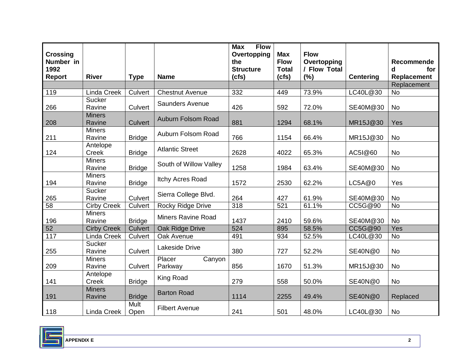| <b>Crossing</b><br>Number in<br>1992<br><b>Report</b> | <b>River</b>            |                | <b>Name</b>                 | <b>Flow</b><br><b>Max</b><br>Overtopping<br>the<br><b>Structure</b> | <b>Max</b><br><b>Flow</b><br><b>Total</b><br>(cfs) | <b>Flow</b><br>Overtopping<br>/ Flow Total<br>(%) | <b>Centering</b> | Recommende<br>for<br>d<br>Replacement |
|-------------------------------------------------------|-------------------------|----------------|-----------------------------|---------------------------------------------------------------------|----------------------------------------------------|---------------------------------------------------|------------------|---------------------------------------|
|                                                       |                         | <b>Type</b>    |                             | (cts)                                                               |                                                    |                                                   |                  | Replacement                           |
| 119                                                   | <b>Linda Creek</b>      | Culvert        | <b>Chestnut Avenue</b>      | 332                                                                 | 449                                                | 73.9%                                             | LC40L@30         | No                                    |
| 266                                                   | Sucker<br>Ravine        | Culvert        | <b>Saunders Avenue</b>      | 426                                                                 | 592                                                | 72.0%                                             | SE40M@30         | No                                    |
| 208                                                   | <b>Miners</b><br>Ravine | <b>Culvert</b> | Auburn Folsom Road          | 881                                                                 | 1294                                               | 68.1%                                             | MR15J@30         | Yes                                   |
| 211                                                   | <b>Miners</b><br>Ravine | <b>Bridge</b>  | Auburn Folsom Road          | 766                                                                 | 1154                                               | 66.4%                                             | MR15J@30         | <b>No</b>                             |
| 124                                                   | Antelope<br>Creek       | <b>Bridge</b>  | <b>Atlantic Street</b>      | 2628                                                                | 4022                                               | 65.3%                                             | AC51@60          | <b>No</b>                             |
|                                                       | <b>Miners</b><br>Ravine | <b>Bridge</b>  | South of Willow Valley      | 1258                                                                | 1984                                               | 63.4%                                             | SE40M@30         | <b>No</b>                             |
| 194                                                   | <b>Miners</b><br>Ravine | <b>Bridge</b>  | Itchy Acres Road            | 1572                                                                | 2530                                               | 62.2%                                             | LC5A@0           | Yes                                   |
| 265                                                   | Sucker<br>Ravine        | Culvert        | Sierra College Blvd.        | 264                                                                 | 427                                                | 61.9%                                             | SE40M@30         | <b>No</b>                             |
| 58                                                    | <b>Cirby Creek</b>      | Culvert        | Rocky Ridge Drive           | 318                                                                 | 521                                                | 61.1%                                             | CC5G@90          | <b>No</b>                             |
| 196                                                   | <b>Miners</b><br>Ravine | <b>Bridge</b>  | <b>Miners Ravine Road</b>   | 1437                                                                | 2410                                               | 59.6%                                             | SE40M@30         | <b>No</b>                             |
| $\overline{52}$                                       | <b>Cirby Creek</b>      | Culvert        | Oak Ridge Drive             | 524                                                                 | 895                                                | 58.5%                                             | CC5G@90          | Yes                                   |
| $\frac{117}{117}$                                     | <b>Linda Creek</b>      | Culvert        | Oak Avenue                  | 491                                                                 | 934                                                | 52.5%                                             | LC40L@30         | No                                    |
| 255                                                   | <b>Sucker</b><br>Ravine | Culvert        | Lakeside Drive              | 380                                                                 | 727                                                | 52.2%                                             | SE40N@0          | <b>No</b>                             |
| 209                                                   | <b>Miners</b><br>Ravine | Culvert        | Placer<br>Canyon<br>Parkway | 856                                                                 | 1670                                               | 51.3%                                             | MR15J@30         | <b>No</b>                             |
| 141                                                   | Antelope<br>Creek       | <b>Bridge</b>  | <b>King Road</b>            | 279                                                                 | 558                                                | 50.0%                                             | SE40N@0          | <b>No</b>                             |
| 191                                                   | <b>Miners</b><br>Ravine | <b>Bridge</b>  | <b>Barton Road</b>          | 1114                                                                | 2255                                               | 49.4%                                             | <b>SE40N@0</b>   | Replaced                              |
| 118                                                   | Linda Creek             | Mult<br>Open   | <b>Filbert Avenue</b>       | 241                                                                 | 501                                                | 48.0%                                             | LC40L@30         | No                                    |

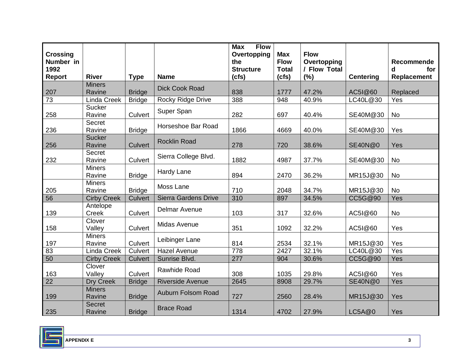| <b>Crossing</b><br>Number in<br>1992 |                          |               |                             | <b>Flow</b><br><b>Max</b><br>Overtopping<br>the<br><b>Structure</b> | <b>Max</b><br><b>Flow</b><br><b>Total</b> | <b>Flow</b><br>Overtopping<br>/ Flow Total |                  | Recommende<br>for<br>d |
|--------------------------------------|--------------------------|---------------|-----------------------------|---------------------------------------------------------------------|-------------------------------------------|--------------------------------------------|------------------|------------------------|
| <b>Report</b>                        | <b>River</b>             | <b>Type</b>   | <b>Name</b>                 | (cfs)                                                               | (cfs)                                     | (%)                                        | <b>Centering</b> | Replacement            |
| 207                                  | <b>Miners</b><br>Ravine  | <b>Bridge</b> | <b>Dick Cook Road</b>       | 838                                                                 | 1777                                      | 47.2%                                      | AC51@60          | Replaced               |
| 73                                   | <b>Linda Creek</b>       | <b>Bridge</b> | Rocky Ridge Drive           | 388                                                                 | 948                                       | 40.9%                                      | LC40L@30         | Yes                    |
| 258                                  | Sucker<br>Ravine         | Culvert       | Super Span                  | 282                                                                 | 697                                       | 40.4%                                      | SE40M@30         | <b>No</b>              |
| 236                                  | Secret<br>Ravine         | <b>Bridge</b> | Horseshoe Bar Road          | 1866                                                                | 4669                                      | 40.0%                                      | SE40M@30         | Yes                    |
| 256                                  | <b>Sucker</b><br>Ravine  | Culvert       | <b>Rocklin Road</b>         | 278                                                                 | 720                                       | 38.6%                                      | <b>SE40N@0</b>   | Yes                    |
| 232                                  | <b>Secret</b><br>Ravine  | Culvert       | Sierra College Blvd.        | 1882                                                                | 4987                                      | 37.7%                                      | SE40M@30         | <b>No</b>              |
|                                      | <b>Miners</b><br>Ravine  | <b>Bridge</b> | Hardy Lane                  | 894                                                                 | 2470                                      | 36.2%                                      | MR15J@30         | <b>No</b>              |
| 205                                  | <b>Miners</b><br>Ravine  | <b>Bridge</b> | Moss Lane                   | 710                                                                 | 2048                                      | 34.7%                                      | MR15J@30         | <b>No</b>              |
| 56                                   | <b>Cirby Creek</b>       | Culvert       | <b>Sierra Gardens Drive</b> | 310                                                                 | 897                                       | 34.5%                                      | CC5G@90          | Yes                    |
| 139                                  | Antelope<br><b>Creek</b> | Culvert       | <b>Delmar Avenue</b>        | 103                                                                 | 317                                       | 32.6%                                      | AC51@60          | <b>No</b>              |
| 158                                  | Clover<br>Valley         | Culvert       | Midas Avenue                | 351                                                                 | 1092                                      | 32.2%                                      | AC51@60          | Yes                    |
| 197                                  | <b>Miners</b><br>Ravine  | Culvert       | Leibinger Lane              | 814                                                                 | 2534                                      | 32.1%                                      | MR15J@30         | Yes                    |
| 83                                   | <b>Linda Creek</b>       | Culvert       | <b>Hazel Avenue</b>         | 778                                                                 | 2427                                      | 32.1%                                      | LC40L@30         | Yes                    |
| 50                                   | <b>Cirby Creek</b>       | Culvert       | Sunrise Blvd.               | 277                                                                 | 904                                       | 30.6%                                      | CC5G@90          | Yes                    |
| 163                                  | Clover<br>Valley         | Culvert       | Rawhide Road                | 308                                                                 | 1035                                      | 29.8%                                      | AC51@60          | Yes                    |
| 22                                   | Dry Creek                | <b>Bridge</b> | <b>Riverside Avenue</b>     | 2645                                                                | 8908                                      | 29.7%                                      | <b>SE40N@0</b>   | Yes                    |
| 199                                  | <b>Miners</b><br>Ravine  | <b>Bridge</b> | Auburn Folsom Road          | 727                                                                 | 2560                                      | 28.4%                                      | MR15J@30         | Yes                    |
| 235                                  | <b>Secret</b><br>Ravine  | <b>Bridge</b> | <b>Brace Road</b>           | 1314                                                                | 4702                                      | 27.9%                                      | LC5A@0           | Yes                    |

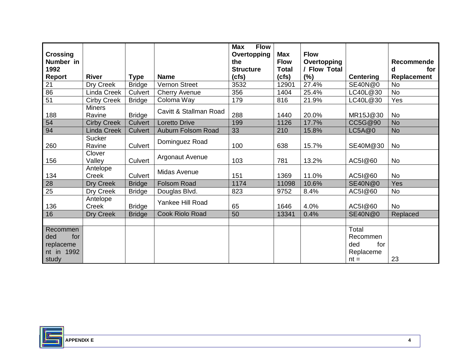| <b>Crossing</b><br>Number in                               |                         |               |                        | <b>Flow</b><br><b>Max</b><br>Overtopping<br>the | <b>Max</b><br><b>Flow</b> | <b>Flow</b><br>Overtopping |                                                        | <b>Recommende</b> |
|------------------------------------------------------------|-------------------------|---------------|------------------------|-------------------------------------------------|---------------------------|----------------------------|--------------------------------------------------------|-------------------|
| 1992                                                       |                         |               |                        | <b>Structure</b>                                | <b>Total</b>              | / Flow Total               |                                                        | for<br>d          |
| Report                                                     | <b>River</b>            | <b>Type</b>   | <b>Name</b>            | (cfs)                                           | (cfs)                     | (%)                        | <b>Centering</b>                                       | Replacement       |
| 21                                                         | Dry Creek               | <b>Bridge</b> | Vernon Street          | 3532                                            | 12901                     | 27.4%                      | <b>SE40N@0</b>                                         | <b>No</b>         |
| $\overline{86}$                                            | Linda Creek             | Culvert       | <b>Cherry Avenue</b>   | 356                                             | 1404                      | 25.4%                      | LC40L@30                                               | <b>No</b>         |
| $\overline{51}$                                            | <b>Cirby Creek</b>      | <b>Bridge</b> | Coloma Way             | 179                                             | 816                       | 21.9%                      | LC40L@30                                               | Yes               |
| 188                                                        | <b>Miners</b><br>Ravine | <b>Bridge</b> | Cavitt & Stallman Road | 288                                             | 1440                      | 20.0%                      | MR15J@30                                               | <b>No</b>         |
| 54                                                         | <b>Cirby Creek</b>      | Culvert       | <b>Loretto Drive</b>   | 199                                             | 1126                      | 17.7%                      | CC5G@90                                                | <b>No</b>         |
| 94                                                         | Linda Creek             | Culvert       | Auburn Folsom Road     | 33                                              | 210                       | 15.8%                      | LC5A@0                                                 | <b>No</b>         |
| 260                                                        | Sucker<br>Ravine        | Culvert       | Dominguez Road         | 100                                             | 638                       | 15.7%                      | SE40M@30                                               | <b>No</b>         |
| 156                                                        | Clover<br>Valley        | Culvert       | <b>Argonaut Avenue</b> | 103                                             | 781                       | 13.2%                      | AC51@60                                                | <b>No</b>         |
| 134                                                        | Antelope<br>Creek       | Culvert       | Midas Avenue           | 151                                             | 1369                      | 11.0%                      | AC51@60                                                | No                |
| 28                                                         | Dry Creek               | <b>Bridge</b> | <b>Folsom Road</b>     | 1174                                            | 11098                     | 10.6%                      | <b>SE40N@0</b>                                         | Yes               |
| 25                                                         | Dry Creek               | <b>Bridge</b> | Douglas Blvd.          | 823                                             | 9752                      | 8.4%                       | AC51@60                                                | <b>No</b>         |
| 136                                                        | Antelope<br>Creek       | <b>Bridge</b> | Yankee Hill Road       | 65                                              | 1646                      | 4.0%                       | AC51@60                                                | No                |
| 16                                                         | Dry Creek               | <b>Bridge</b> | Cook Riolo Road        | 50                                              | 13341                     | 0.4%                       | <b>SE40N@0</b>                                         | Replaced          |
|                                                            |                         |               |                        |                                                 |                           |                            |                                                        |                   |
| Recommen<br>ded<br>for<br>replaceme<br>nt in 1992<br>study |                         |               |                        |                                                 |                           |                            | Total<br>Recommen<br>ded<br>for<br>Replaceme<br>$nt =$ | 23                |